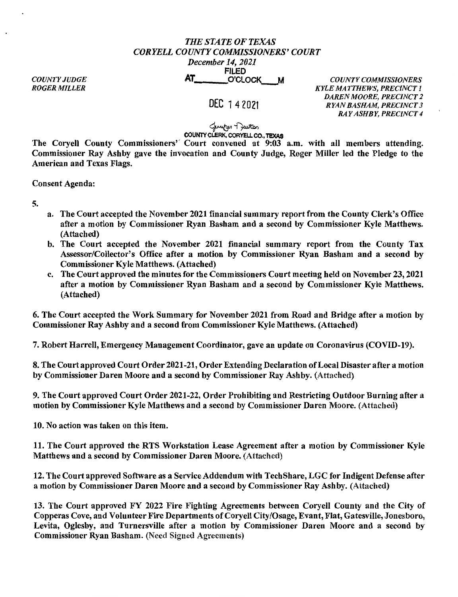## *THE STATE OF TEXAS CORYELL COUNTY COMMISSIONERS' COURT December 14, 2021*

*COUNTY JUDGE ROGER MILLER* 

FILED<br>O'CLOCK AT \_\_\_ O.'CLOCK\_M *COUNTY COMMISSIONERS* 

## DEC 142021

*KYLE MATTHEWS, PRECINCT 1 DAREN MOORE, PRECINCT 2 RYAN BASHAM, PRECINCT 3 RAY ASHBY, PRECINCT 4* 

لمسلمه ۲<br>**COUNTY CLERK, CORYELL CO., TEXAS** 

The Coryell County Commissioners'' Court convened at 9:03 a.m. with all members attending.

Commissioner Ray Ashby gave the invocation and County Judge, Roger Miller led the Pledge to the American and Texas Flags.

Consent Agenda:

5.

- a. The Court accepted the November 2021 financial summary report from the County Clerk's Office after a motion by Commissioner Ryan Basham and a second by Commissioner Kyle Matthews. (Attached)
- b. The Court accepted the November 2021 financial summary report from the County Tax Assessor/Collector's Office after a motion by Commissioner Ryan Basham and a second by Commissioner Kyle Matthews. (Attached)
- c. The Court approved the minutes for the Commissioners Court meeting held on November 23, 2021 after a motion by Commissioner Ryan Basham and a second by Commissioner Kyle Matthews. (Attached)

6. The Court accepted the Work Summary for November 2021 from Road and Bridge after a motion by Commissioner Ray Ashby and a second from Commissioner Kyle Matthews. (Attached)

7. Robert Harrell, Emergency Management Coordinator, gave an update on Coronavirus (COVID-19).

8. The Court approved Court Order 2021-21, Order Extending Declaration of Local Disaster after a motion by Commissioner Daren Moore and a second by Commissioner Ray Ashby. (Attached)

9. The Court approved Court Order 2021-22, Order Prohibiting and Restricting Outdoor Burning after a motion by Commissioner Kyle Matthews and a second by Commissioner Daren Moore. (Attached)

10. No action was taken on this item.

11. The Court approved the RTS Workstation Lease Agreement after a motion by Commissioner Kyle Matthews and a second by Commissioner Daren Moore. (Attached)

12. The Court approved Software as a Service Addendum with TechShare, LGC for Indigent Defense after a motion by Commissioner Daren Moore and a second by Commissioner Ray Ashby. (Attached)

13. The Court approved FY 2022 Fire Fighting Agreements between Coryell County and the City of Copperas Cove, and Volunteer Fire Departments of Coryell City/Osage, Evant, Flat, Gatesville, Jonesboro, Levita, Oglesby, and Turnersville after a motion by Commissioner Daren Moore and a second by Commissioner Ryan Basham. (Need Signed Agreements)